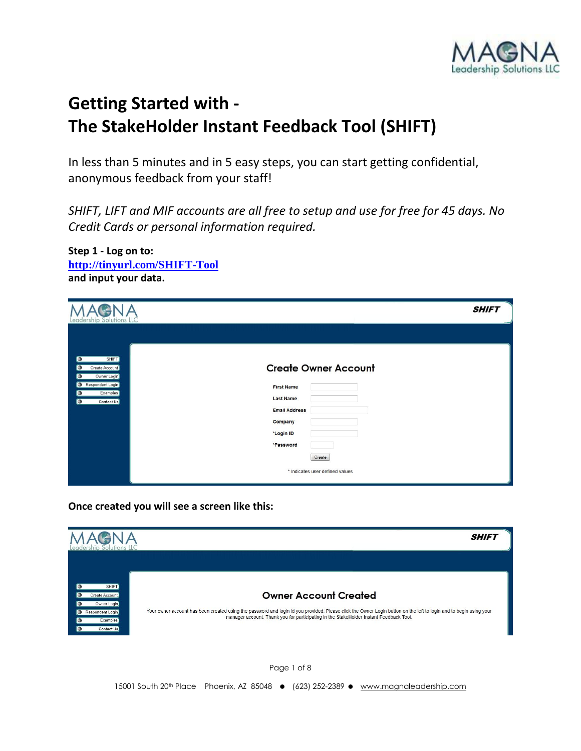

## **Getting Started with - The StakeHolder Instant Feedback Tool (SHIFT)**

In less than 5 minutes and in 5 easy steps, you can start getting confidential, anonymous feedback from your staff!

*SHIFT, LIFT and MIF accounts are all free to setup and use for free for 45 days. No Credit Cards or personal information required.*

| Leadership Solutions LLC                                                                                                                                    | <b>SHIFT</b>                                                                                                                                                                   |
|-------------------------------------------------------------------------------------------------------------------------------------------------------------|--------------------------------------------------------------------------------------------------------------------------------------------------------------------------------|
| <b>SHIFT</b><br>$\bullet$<br>$\bullet$<br>Create Account<br>Owner Login<br>О<br>Respondent Login<br>$\bullet$<br><b>Examples</b><br>$\bullet$<br>Contact Us | <b>Create Owner Account</b><br><b>First Name</b><br><b>Last Name</b><br><b>Email Address</b><br>Company<br>*Login ID<br>*Password<br>Create<br>* Indicates user defined values |

**Once created you will see a screen like this:**

**Step 1 - Log on to:**

**and input your data.**

**<http://tinyurl.com/SHIFT-Tool>**



Page 1 of 8 15001 South 20<sup>th</sup> Place Phoenix, AZ 85048 ● (623) 252-2389 ● www.magnaleadership.com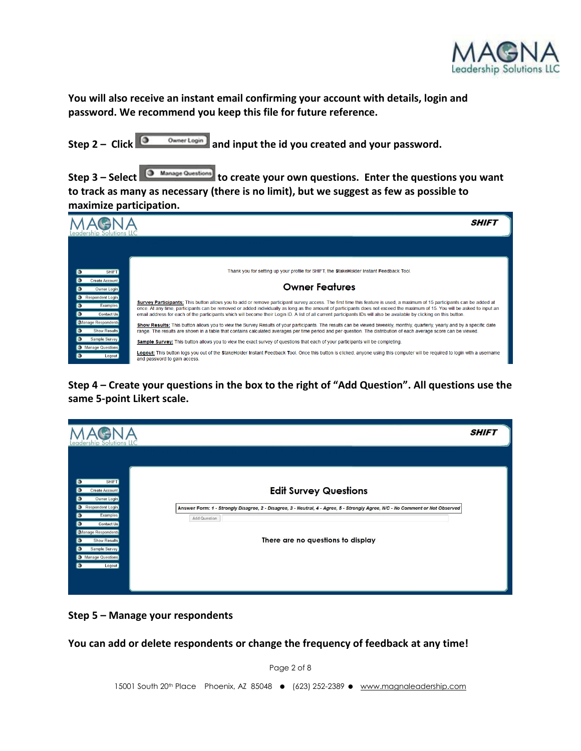

**You will also receive an instant email confirming your account with details, login and password. We recommend you keep this file for future reference.**

Step 2 – Click  $\boxed{ }$  <sup>O Owner Login</sup> and input the id you created and your password.

Step 3 – Select **C** Manage Questions to create your own questions. Enter the questions you want **to track as many as necessary (there is no limit), but we suggest as few as possible to maximize participation.**



**Step 4 – Create your questions in the box to the right of "Add Question". All questions use the same 5-point Likert scale.** 

| eadership Solutions LLC.                                                                                                                                                                                                                              |                                                                                                                                                                                                                     | <b>SHIFT</b> |
|-------------------------------------------------------------------------------------------------------------------------------------------------------------------------------------------------------------------------------------------------------|---------------------------------------------------------------------------------------------------------------------------------------------------------------------------------------------------------------------|--------------|
| SHIFT.<br>$\bullet$<br>Create Account<br>Э<br>Owner Login<br>Respondent Login<br><b>Examples</b><br>$\bullet$<br>Contact Us<br>$\bullet$<br>Manage Respondents<br><b>Show Results</b><br>ാ<br>Sample Survey<br>◑<br>Manage Questions<br>io.<br>Logout | <b>Edit Survey Questions</b><br>Answer Form: 1 - Strongly Disagree, 2 - Disagree, 3 - Neutral, 4 - Agree, 5 - Strongly Agree, N/C - No Comment or Not Observed<br>Add Question<br>There are no questions to display |              |
|                                                                                                                                                                                                                                                       |                                                                                                                                                                                                                     |              |

**Step 5 – Manage your respondents**

**You can add or delete respondents or change the frequency of feedback at any time!**

Page 2 of 8

15001 South 20<sup>th</sup> Place Phoenix, AZ 85048 ● (623) 252-2389 ● www.magnaleadership.com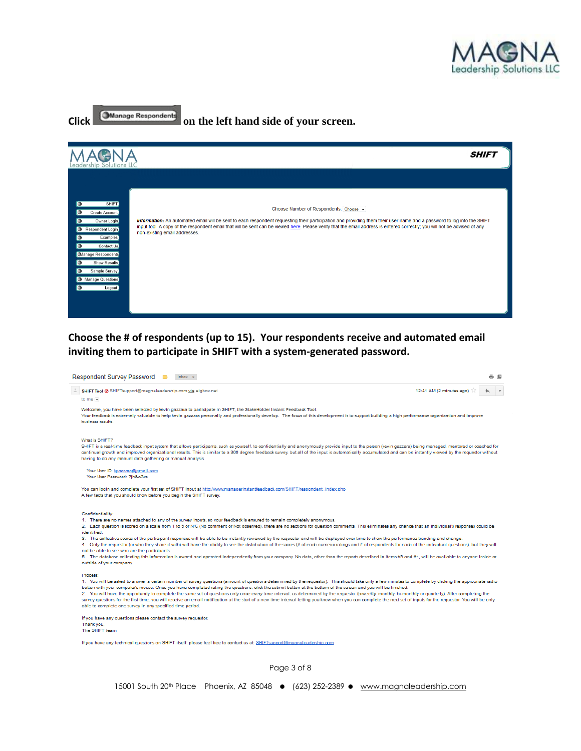

**SHIFT** 

# **Click OManage Respondents** on the left hand side of your screen. MAGNA Choose Number of Respondents: Choose v Information: An automated email will be sent to each respondent requesting their participation and providing them their user name and a password to log into the SHIFT input tool. A copy of the respondent email that will be sent can be viewed here. Please verify that the email address is entered correctly, you will not be advised of any non-existing email addresses.

**Choose the # of respondents (up to 15). Your respondents receive and automated email inviting them to participate in SHIFT with a system-generated password.**

| <b>Respondent Survey Password</b><br>Inbox x<br>o n                                                                                                                                                                                                                                                                                                                                                                                                                                                                                                                                                                                                                                                                                                                                                                                                                                                                                                                                                                                                                           |
|-------------------------------------------------------------------------------------------------------------------------------------------------------------------------------------------------------------------------------------------------------------------------------------------------------------------------------------------------------------------------------------------------------------------------------------------------------------------------------------------------------------------------------------------------------------------------------------------------------------------------------------------------------------------------------------------------------------------------------------------------------------------------------------------------------------------------------------------------------------------------------------------------------------------------------------------------------------------------------------------------------------------------------------------------------------------------------|
| 12:41 AM (2 minutes ago)<br>SHIFT Tool @ SHIFTsupport@magnaleadership.com via eigbox.net<br>to me $\overline{\mathbf{v}}$                                                                                                                                                                                                                                                                                                                                                                                                                                                                                                                                                                                                                                                                                                                                                                                                                                                                                                                                                     |
| Welcome, you have been selected by kevin gazzara to participate in SHIFT, the StakeHolder Instant Feedback Tool.<br>Your feedback is extremely valuable to help kevin gazzara personally and professionally develop. The focus of this development is to support building a high performance organization and improve<br>business results.                                                                                                                                                                                                                                                                                                                                                                                                                                                                                                                                                                                                                                                                                                                                    |
| What is SHIFT?<br>SHIFT is a real-time feedback input system that allows participants, such as yourself, to confidentially and anonymously provide input to the person (kevin gazzara) being managed, mentored or coached for<br>continual growth and improved organizational results. This is similar to a 360 degree feedback survey, but all of the input is automatically accumulated and can be instantly viewed by the requestor without<br>having to do any manual data gathering or manual analysis.                                                                                                                                                                                                                                                                                                                                                                                                                                                                                                                                                                  |
| Your User ID: kgazzara@gmail.com<br>Your User Password: ?jh&w3xs                                                                                                                                                                                                                                                                                                                                                                                                                                                                                                                                                                                                                                                                                                                                                                                                                                                                                                                                                                                                              |
| You can login and complete your first set of SHIFT input at http://www.managerinstantfeedback.com/SHIFT/respondent_index.php<br>A few facts that you should know before you begin the SHIFT survey.                                                                                                                                                                                                                                                                                                                                                                                                                                                                                                                                                                                                                                                                                                                                                                                                                                                                           |
| Confidentiality:<br>1. There are no names attached to any of the survey inputs, so your feedback is ensured to remain completely anonymous.<br>2. Each question is scored on a scale from 1 to 5 or N/C (No comment or Not observed), there are no sections for question comments. This eliminates any chance that an individual's responses could be<br>identified.<br>3. The collective scores of the participant responses will be able to be instantly reviewed by the requestor and will be displayed over time to show the performance trending and change.<br>4. Only the requestor (or who they share it with) will have the ability to see the distribution of the scores (# of each numeric ratings and # of respondents for each of the individual questions), but they will<br>not be able to see who are the participants.<br>5. The database collecting this information is owned and operated independently from your company. No data, other than the reports described in items #3 and #4, will be available to anyone inside or<br>outside of your company. |
| Process:<br>1. You will be asked to answer a certain number of survey questions (amount of questions determined by the requestor). This should take only a few minutes to complete by clicking the appropriate radio<br>button with your computer's mouse. Once you have completed rating the questions, click the submit button at the bottom of the screen and you will be finished.<br>2. You will have the opportunity to complete the same set of questions only once every time interval, as determined by the requestor (biweekly, monthly, bi-monthly or quarterly). After completing the<br>survey questions for the first time, you will receive an email notification at the start of a new time interval letting you know when you can complete the next set of inputs for the requestor. You will be only<br>able to complete one survey in any specified time period.                                                                                                                                                                                           |
| If you have any questions please contact the survey requestor.<br>Thank you,<br>The SHIFT team                                                                                                                                                                                                                                                                                                                                                                                                                                                                                                                                                                                                                                                                                                                                                                                                                                                                                                                                                                                |
| If you have any technical questions on SHIFT itself, please feel free to contact us at: SHIFTsupport@magnaleadership.com                                                                                                                                                                                                                                                                                                                                                                                                                                                                                                                                                                                                                                                                                                                                                                                                                                                                                                                                                      |

Page 3 of 8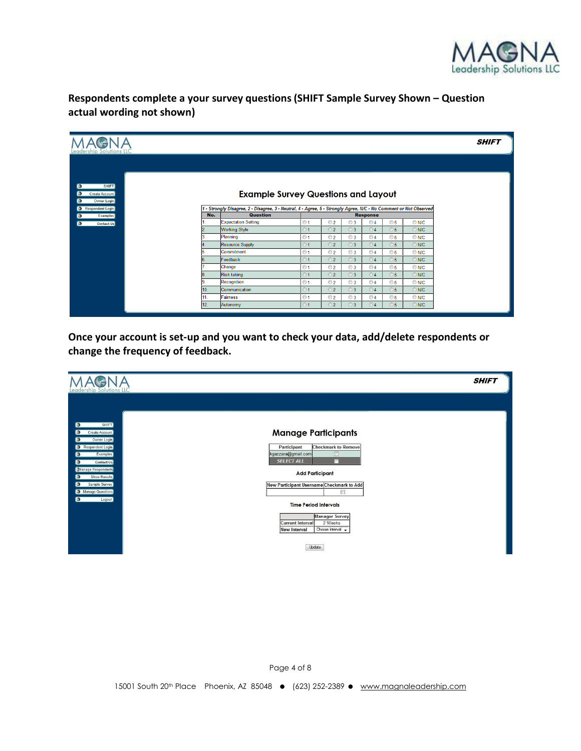

**Respondents complete a your survey questions (SHIFT Sample Survey Shown – Question actual wording not shown)**

| Leadership Solutions LL                       |     |                                                                                                                   |           |                      |           |                              |                      |                |
|-----------------------------------------------|-----|-------------------------------------------------------------------------------------------------------------------|-----------|----------------------|-----------|------------------------------|----------------------|----------------|
|                                               |     |                                                                                                                   |           |                      |           |                              |                      |                |
|                                               |     |                                                                                                                   |           |                      |           |                              |                      |                |
| <b>SHIFT</b><br>Create Account<br>Owner Login |     | <b>Example Survey Questions and Layout</b>                                                                        |           |                      |           |                              |                      |                |
| Respondent Login                              |     | 1 - Strongly Disagree, 2 - Disagree, 3 - Neutral, 4 - Agree, 5 - Strongly Agree, N/C - No Comment or Not Observed |           |                      |           |                              |                      |                |
| <b>Examples</b>                               | No. | <b>Question</b><br><b>Expectation Setting</b>                                                                     | $\odot$ 1 | $\odot$ 2            | $\odot$ 3 | <b>Response</b><br>$\odot$ 4 | $\circ$ 5            | $\odot$ N/C    |
| Contact Us                                    |     | <b>Working Style</b>                                                                                              | $\odot$ 1 | $\odot$ 2            | $\odot$ 3 | $\odot$ 4                    | $\circ$ 5            | $\odot$ N/C    |
|                                               |     | Planning                                                                                                          | $01$      | $\odot$ 2            | $\odot$ 3 | $\odot$ 4                    | $\circ$ <sub>5</sub> | $\odot$ N/C    |
|                                               |     | Resource Supply                                                                                                   | $\odot$ 1 | $\odot$ 2            | $\odot$ 3 | $\odot$ 4                    | $\circ$ 5            | $\odot$ N/C    |
|                                               |     | Commitment                                                                                                        | $°1$      | $\odot$ 2            | $\odot$ 3 | $\odot$ 4                    | $\circ$ 5            | $\odot$ N/C    |
|                                               |     | Feedback                                                                                                          | $\odot$ 1 | $\odot$ 2            | ⊙3        | $\odot$ 4                    | $\circ$ 5            | $\odot$ N/C    |
|                                               |     | Change                                                                                                            | $\odot$ 1 | $\odot$ 2            | $\odot$ 3 | $\odot$ 4                    | $\circ$ 5            | $\bigcirc$ N/C |
|                                               |     | Risk taking                                                                                                       | ⊙1        | $\odot$ 2            | ⊙3        | $\odot$ 4                    | $\circ$ 5            | O N/C          |
|                                               |     | Recognition                                                                                                       | $\odot$ 1 | $\odot$ 2            | $\odot$ 3 | $\odot$ 4                    | $\circ$ 5            | $\odot$ N/C.   |
|                                               | 10. | Communication                                                                                                     | $\odot$ 1 | $\odot$ 2            | $\odot$ 3 | $\odot$ 4                    | $\circ$ 5            | $\odot$ N/C    |
|                                               | 11. | Fairness                                                                                                          | $°$       | $\odot$ 2            | $\odot$ 3 | $\odot$ 4                    | $\circ$ <sub>5</sub> | $\odot$ N/C    |
|                                               | 12. | Autonomy                                                                                                          | $\odot$ 1 | $\odot$ <sub>2</sub> | $\odot$ 3 | $\odot$ 4                    | $\circ$ 5            | $\odot$ N/C    |

**Once your account is set-up and you want to check your data, add/delete respondents or change the frequency of feedback.**

| eadership Solutions.                                                                                                                                                                                                                                                              |                                                                                                                                                                                                                                                                                                                                                     | <b>SHIFT</b> |
|-----------------------------------------------------------------------------------------------------------------------------------------------------------------------------------------------------------------------------------------------------------------------------------|-----------------------------------------------------------------------------------------------------------------------------------------------------------------------------------------------------------------------------------------------------------------------------------------------------------------------------------------------------|--------------|
| SHIFT)<br>$\bullet$<br>Create Account<br>o.<br>Owner Login<br>$\bullet$<br>Respondent Login<br><b>Examples</b><br>$\bullet$<br>$\bullet$<br>Contact Us<br>Manage Respondents<br><b>Show Results</b><br>О<br>Sample Survey<br>$\bullet$<br>Manage Questions<br>$\bullet$<br>Logout | <b>Manage Participants</b><br><b>Checkmark to Remove</b><br>Participant<br>kgazzara@gmail.com<br><b>SELECT ALL</b><br>m<br><b>Add Participant</b><br>New Participant Username Checkmark to Add<br>$\Box$<br><b>Time Period Intervals</b><br><b>Manager Survey</b><br>2 Weeks<br><b>Current Interval</b><br><b>New Interval</b><br>Choose Interval + |              |
|                                                                                                                                                                                                                                                                                   | Update                                                                                                                                                                                                                                                                                                                                              |              |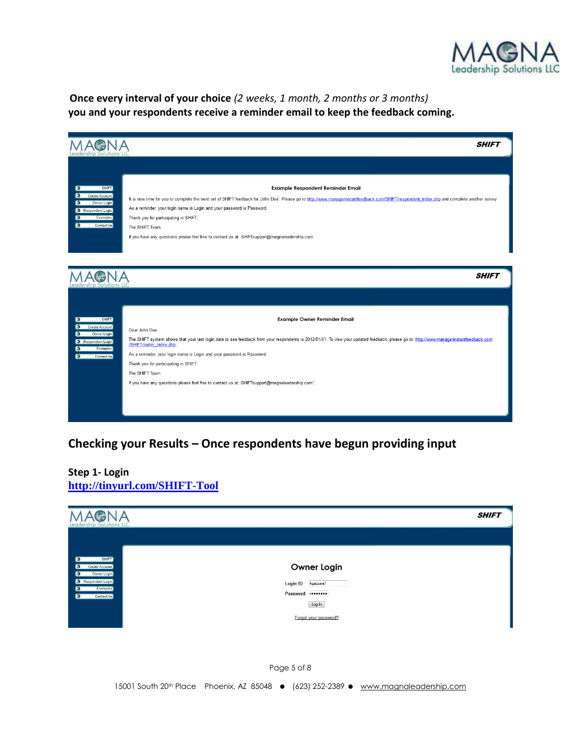

**Once every interval of your choice** *(2 weeks, 1 month, 2 months or 3 months)* **you and your respondents receive a reminder email to keep the feedback coming.**

|                                                                                                                                               | <b>SHIFT</b>                                                                                                                                                                                                                                                                                                                                                                                                                                                                                                        |
|-----------------------------------------------------------------------------------------------------------------------------------------------|---------------------------------------------------------------------------------------------------------------------------------------------------------------------------------------------------------------------------------------------------------------------------------------------------------------------------------------------------------------------------------------------------------------------------------------------------------------------------------------------------------------------|
| О<br><b>SHIFT</b><br>Create Account<br>Owner Login<br>ю<br>Respondent Login<br>Examples<br>О<br>$\bullet$<br>Contact Us                       | Example Respondent Reminder Email<br>It is now time for you to complete the next set of SHIFT feedback for 'John Doe'. Please go to http://www.managerinstantfeedback.com/SHIFT/respondent_index.php and complete another survey.<br>As a reminder, your login name is Login and your password is Password<br>Thank you for participating in SHIFT.<br>The SHIFT Team                                                                                                                                               |
|                                                                                                                                               | If you have any questions please feel free to contact us at: SHIFTsupport@magnaleadership.com<br><b>SHIFT</b>                                                                                                                                                                                                                                                                                                                                                                                                       |
| <b>SHIFT</b><br>$\bullet$<br>Create Account<br>o.<br>o<br>Owner Login<br>Respondent Login<br>Examples<br>$\bullet$<br>$\bullet$<br>Contact Us | <b>Example Owner Reminder Email</b><br>Dear John Doe,<br>The SHIFT system shows that your last login date to see feedback from your respondents is 2012/01/01. To view your updated feedback, please go to: http://www.managerinstantfeedback.com<br>/SHIFT/owner_index.php.<br>As a reminder, your login name is Login and your password is Password<br>Thank you for participating in SHIFT.<br>The SHIFT Team<br>If you have any questions please feel free to contact us at: SHIFTsupport@magnaleadership.com"; |

### **Checking your Results – Once respondents have begun providing input**

#### **Step 1- Login <http://tinyurl.com/SHIFT-Tool>**

| MAGNA                                                                                                                           |                                                                                                         | <b>SHIFT</b> |
|---------------------------------------------------------------------------------------------------------------------------------|---------------------------------------------------------------------------------------------------------|--------------|
| SHIFT)<br>o<br>Create Account<br>o<br>Owner Login<br>o.<br>Respondent Login<br>Examples<br>$\bullet$<br>Contact Us<br>$\bullet$ | <b>Owner Login</b><br>Login ID kgazzara1<br>Password <b>Deserved</b><br>Log In<br>Forgot your password? |              |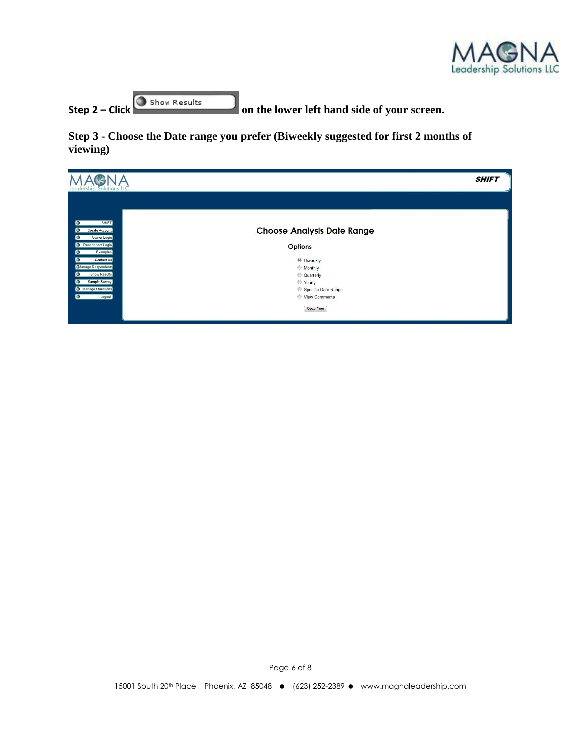

**Step 2** – **Click o**show Results on the lower left hand side of your screen.

**Step 3 - Choose the Date range you prefer (Biweekly suggested for first 2 months of viewing)**

| <b>SHIFT</b><br>Leadership Solutions LLC           |                                   |  |  |  |  |
|----------------------------------------------------|-----------------------------------|--|--|--|--|
|                                                    |                                   |  |  |  |  |
| <b>SHIFT</b><br>o<br>Create Account<br>Owner Login | <b>Choose Analysis Date Range</b> |  |  |  |  |
| Respondent Login<br><b>Examples</b><br>О           | Options                           |  |  |  |  |
| Contact Us<br>О<br>Manage Respondents              | <b>Siweekly</b><br><b>Monthly</b> |  |  |  |  |
| <b>Show Results</b><br>o<br>Sample Survey<br>o     | C Quarterly<br>◎ Yearly           |  |  |  |  |
| Manage Questions                                   | Specific Date Range               |  |  |  |  |
| Logout<br>О                                        | View Comments                     |  |  |  |  |
|                                                    | Show Data                         |  |  |  |  |

Page 6 of 8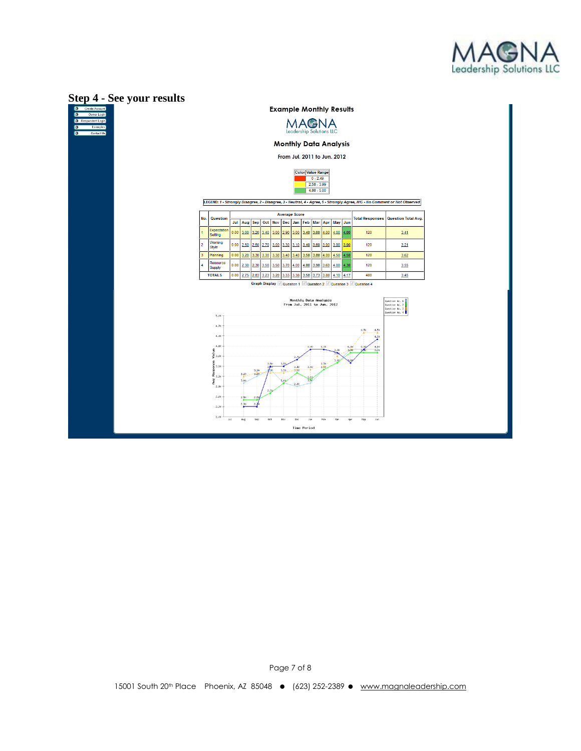



Page 7 of 8